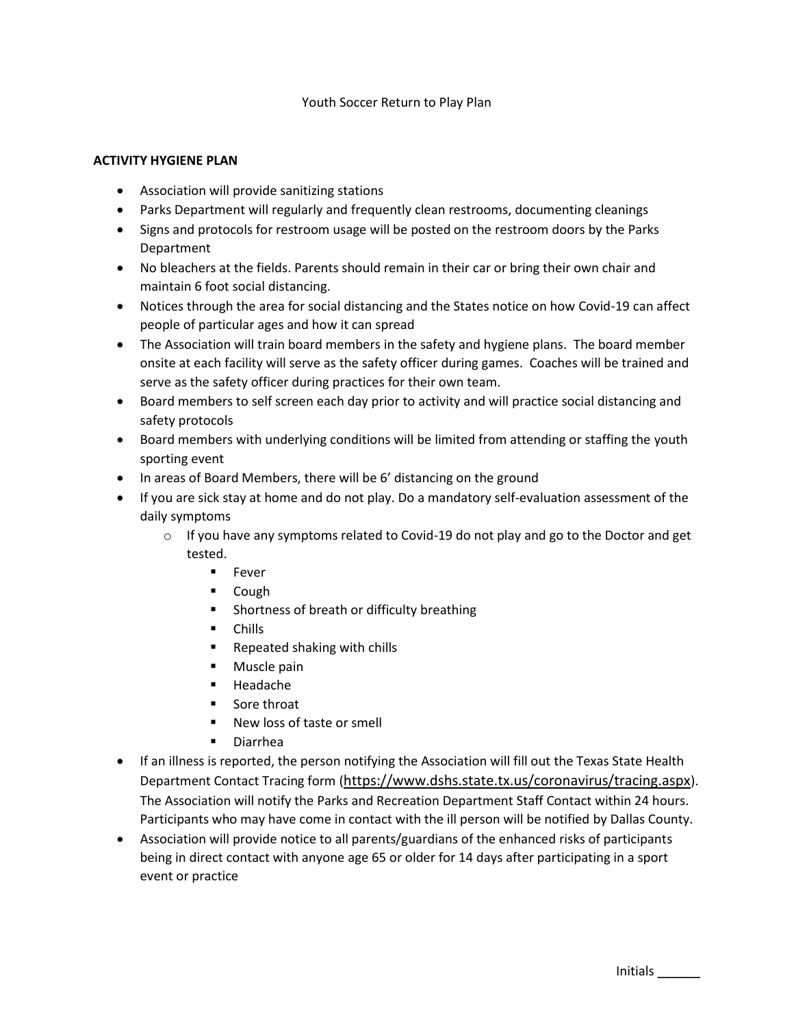## Youth Soccer Return to Play Plan

#### **ACTIVITY HYGIENE PLAN**

- Association will provide sanitizing stations
- Parks Department will regularly and frequently clean restrooms, documenting cleanings
- Signs and protocols for restroom usage will be posted on the restroom doors by the Parks Department
- No bleachers at the fields. Parents should remain in their car or bring their own chair and maintain 6 foot social distancing.
- Notices through the area for social distancing and the States notice on how Covid-19 can affect people of particular ages and how it can spread
- The Association will train board members in the safety and hygiene plans. The board member onsite at each facility will serve as the safety officer during games. Coaches will be trained and serve as the safety officer during practices for their own team.
- Board members to self screen each day prior to activity and will practice social distancing and safety protocols
- Board members with underlying conditions will be limited from attending or staffing the youth sporting event
- In areas of Board Members, there will be 6' distancing on the ground
- If you are sick stay at home and do not play. Do a mandatory self-evaluation assessment of the daily symptoms
	- $\circ$  If you have any symptoms related to Covid-19 do not play and go to the Doctor and get tested.
		- Fever
		- Cough
		- Shortness of breath or difficulty breathing
		- Chills
		- Repeated shaking with chills
		- Muscle pain
		- **Headache**
		- Sore throat
		- New loss of taste or smell
		- Diarrhea
- If an illness is reported, the person notifying the Association will fill out the Texas State Health Department Contact Tracing form (<https://www.dshs.state.tx.us/coronavirus/tracing.aspx>). The Association will notify the Parks and Recreation Department Staff Contact within 24 hours. Participants who may have come in contact with the ill person will be notified by Dallas County.
- Association will provide notice to all parents/guardians of the enhanced risks of participants being in direct contact with anyone age 65 or older for 14 days after participating in a sport event or practice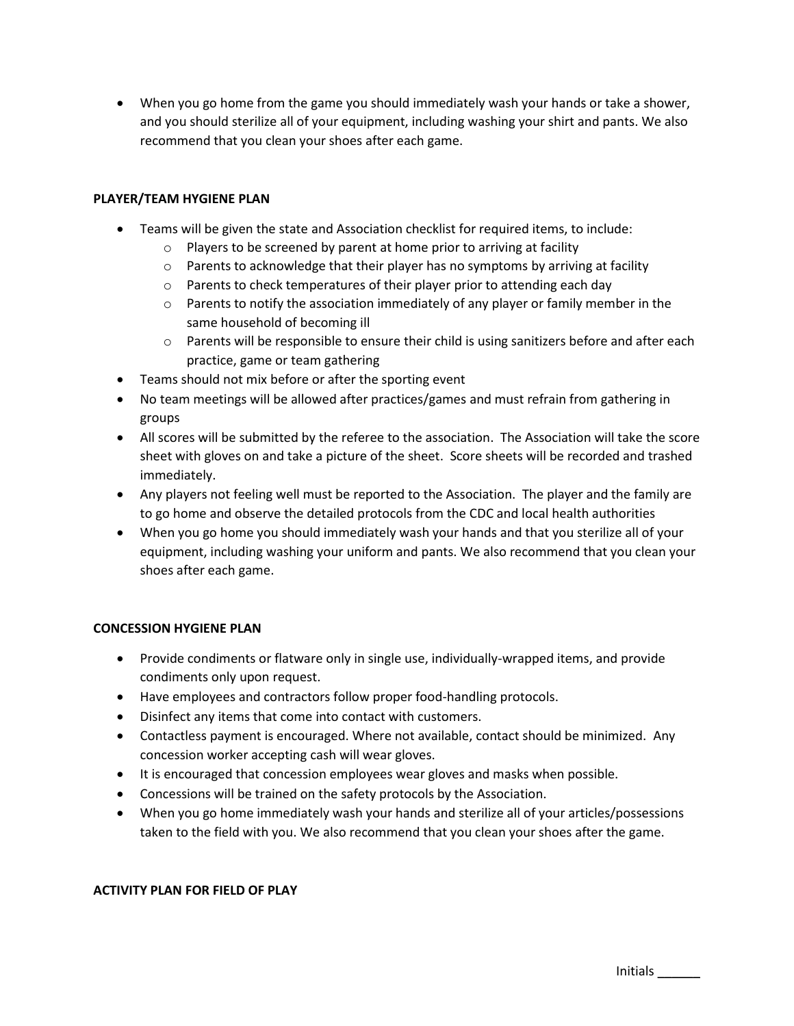• When you go home from the game you should immediately wash your hands or take a shower, and you should sterilize all of your equipment, including washing your shirt and pants. We also recommend that you clean your shoes after each game.

# **PLAYER/TEAM HYGIENE PLAN**

- Teams will be given the state and Association checklist for required items, to include:
	- o Players to be screened by parent at home prior to arriving at facility
	- $\circ$  Parents to acknowledge that their player has no symptoms by arriving at facility
	- o Parents to check temperatures of their player prior to attending each day
	- $\circ$  Parents to notify the association immediately of any player or family member in the same household of becoming ill
	- o Parents will be responsible to ensure their child is using sanitizers before and after each practice, game or team gathering
- Teams should not mix before or after the sporting event
- No team meetings will be allowed after practices/games and must refrain from gathering in groups
- All scores will be submitted by the referee to the association. The Association will take the score sheet with gloves on and take a picture of the sheet. Score sheets will be recorded and trashed immediately.
- Any players not feeling well must be reported to the Association. The player and the family are to go home and observe the detailed protocols from the CDC and local health authorities
- When you go home you should immediately wash your hands and that you sterilize all of your equipment, including washing your uniform and pants. We also recommend that you clean your shoes after each game.

## **CONCESSION HYGIENE PLAN**

- Provide condiments or flatware only in single use, individually-wrapped items, and provide condiments only upon request.
- Have employees and contractors follow proper food-handling protocols.
- Disinfect any items that come into contact with customers.
- Contactless payment is encouraged. Where not available, contact should be minimized. Any concession worker accepting cash will wear gloves.
- It is encouraged that concession employees wear gloves and masks when possible.
- Concessions will be trained on the safety protocols by the Association.
- When you go home immediately wash your hands and sterilize all of your articles/possessions taken to the field with you. We also recommend that you clean your shoes after the game.

## **ACTIVITY PLAN FOR FIELD OF PLAY**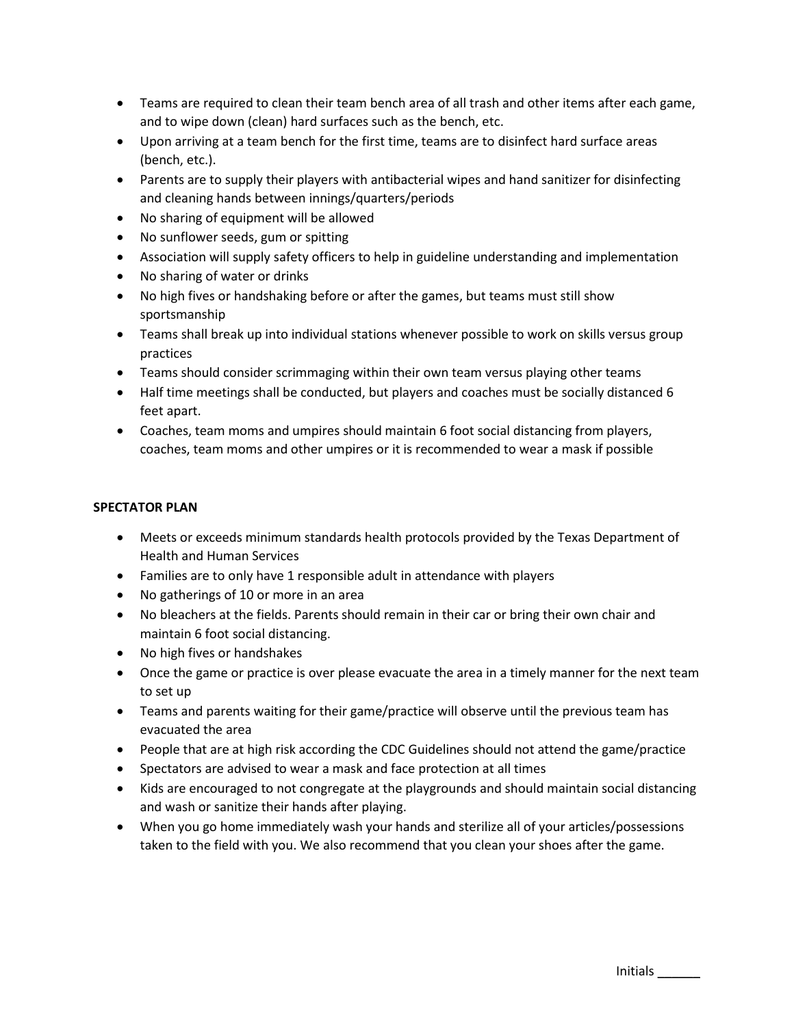- Teams are required to clean their team bench area of all trash and other items after each game, and to wipe down (clean) hard surfaces such as the bench, etc.
- Upon arriving at a team bench for the first time, teams are to disinfect hard surface areas (bench, etc.).
- Parents are to supply their players with antibacterial wipes and hand sanitizer for disinfecting and cleaning hands between innings/quarters/periods
- No sharing of equipment will be allowed
- No sunflower seeds, gum or spitting
- Association will supply safety officers to help in guideline understanding and implementation
- No sharing of water or drinks
- No high fives or handshaking before or after the games, but teams must still show sportsmanship
- Teams shall break up into individual stations whenever possible to work on skills versus group practices
- Teams should consider scrimmaging within their own team versus playing other teams
- Half time meetings shall be conducted, but players and coaches must be socially distanced 6 feet apart.
- Coaches, team moms and umpires should maintain 6 foot social distancing from players, coaches, team moms and other umpires or it is recommended to wear a mask if possible

## **SPECTATOR PLAN**

- Meets or exceeds minimum standards health protocols provided by the Texas Department of Health and Human Services
- Families are to only have 1 responsible adult in attendance with players
- No gatherings of 10 or more in an area
- No bleachers at the fields. Parents should remain in their car or bring their own chair and maintain 6 foot social distancing.
- No high fives or handshakes
- Once the game or practice is over please evacuate the area in a timely manner for the next team to set up
- Teams and parents waiting for their game/practice will observe until the previous team has evacuated the area
- People that are at high risk according the CDC Guidelines should not attend the game/practice
- Spectators are advised to wear a mask and face protection at all times
- Kids are encouraged to not congregate at the playgrounds and should maintain social distancing and wash or sanitize their hands after playing.
- When you go home immediately wash your hands and sterilize all of your articles/possessions taken to the field with you. We also recommend that you clean your shoes after the game.